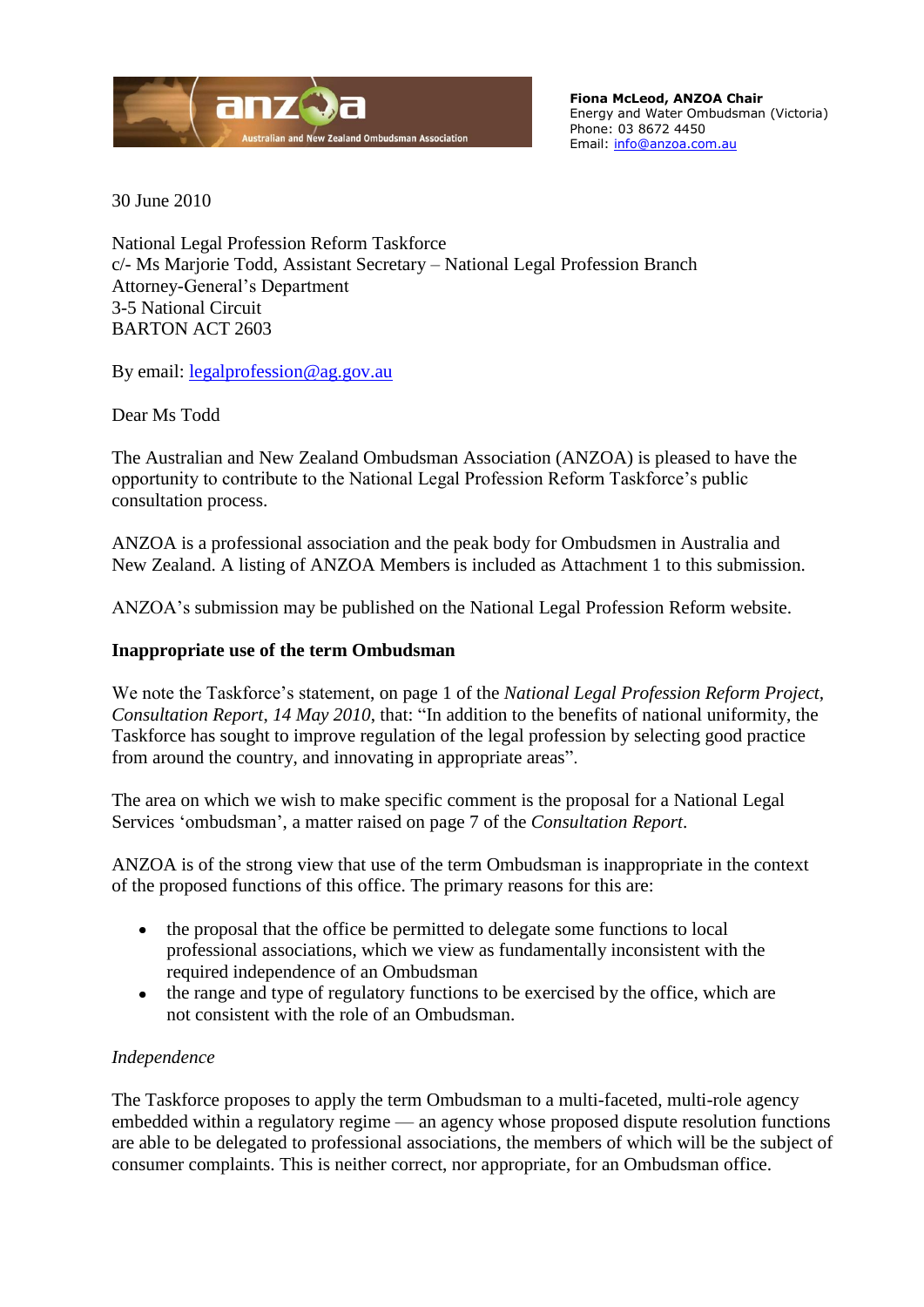

**Fiona McLeod, ANZOA Chair** Energy and Water Ombudsman (Victoria) Phone: 03 8672 4450 Email: [info@anzoa.com.au](mailto:info@anzoa.com.au)

30 June 2010

National Legal Profession Reform Taskforce c/- Ms Marjorie Todd, Assistant Secretary – National Legal Profession Branch Attorney-General's Department 3-5 National Circuit BARTON ACT 2603

By email: [legalprofession@ag.gov.au](mailto:legalprofession@ag.gov.au)

Dear Ms Todd

The Australian and New Zealand Ombudsman Association (ANZOA) is pleased to have the opportunity to contribute to the National Legal Profession Reform Taskforce's public consultation process.

ANZOA is a professional association and the peak body for Ombudsmen in Australia and New Zealand. A listing of ANZOA Members is included as Attachment 1 to this submission.

ANZOA's submission may be published on the National Legal Profession Reform website.

# **Inappropriate use of the term Ombudsman**

We note the Taskforce's statement, on page 1 of the *National Legal Profession Reform Project, Consultation Report, 14 May 2010, that:* "In addition to the benefits of national uniformity, the Taskforce has sought to improve regulation of the legal profession by selecting good practice from around the country, and innovating in appropriate areas".

The area on which we wish to make specific comment is the proposal for a National Legal Services 'ombudsman', a matter raised on page 7 of the *Consultation Report*.

ANZOA is of the strong view that use of the term Ombudsman is inappropriate in the context of the proposed functions of this office. The primary reasons for this are:

- $\bullet$ the proposal that the office be permitted to delegate some functions to local professional associations, which we view as fundamentally inconsistent with the required independence of an Ombudsman
- the range and type of regulatory functions to be exercised by the office, which are  $\bullet$ not consistent with the role of an Ombudsman.

### *Independence*

The Taskforce proposes to apply the term Ombudsman to a multi-faceted, multi-role agency embedded within a regulatory regime — an agency whose proposed dispute resolution functions are able to be delegated to professional associations, the members of which will be the subject of consumer complaints. This is neither correct, nor appropriate, for an Ombudsman office.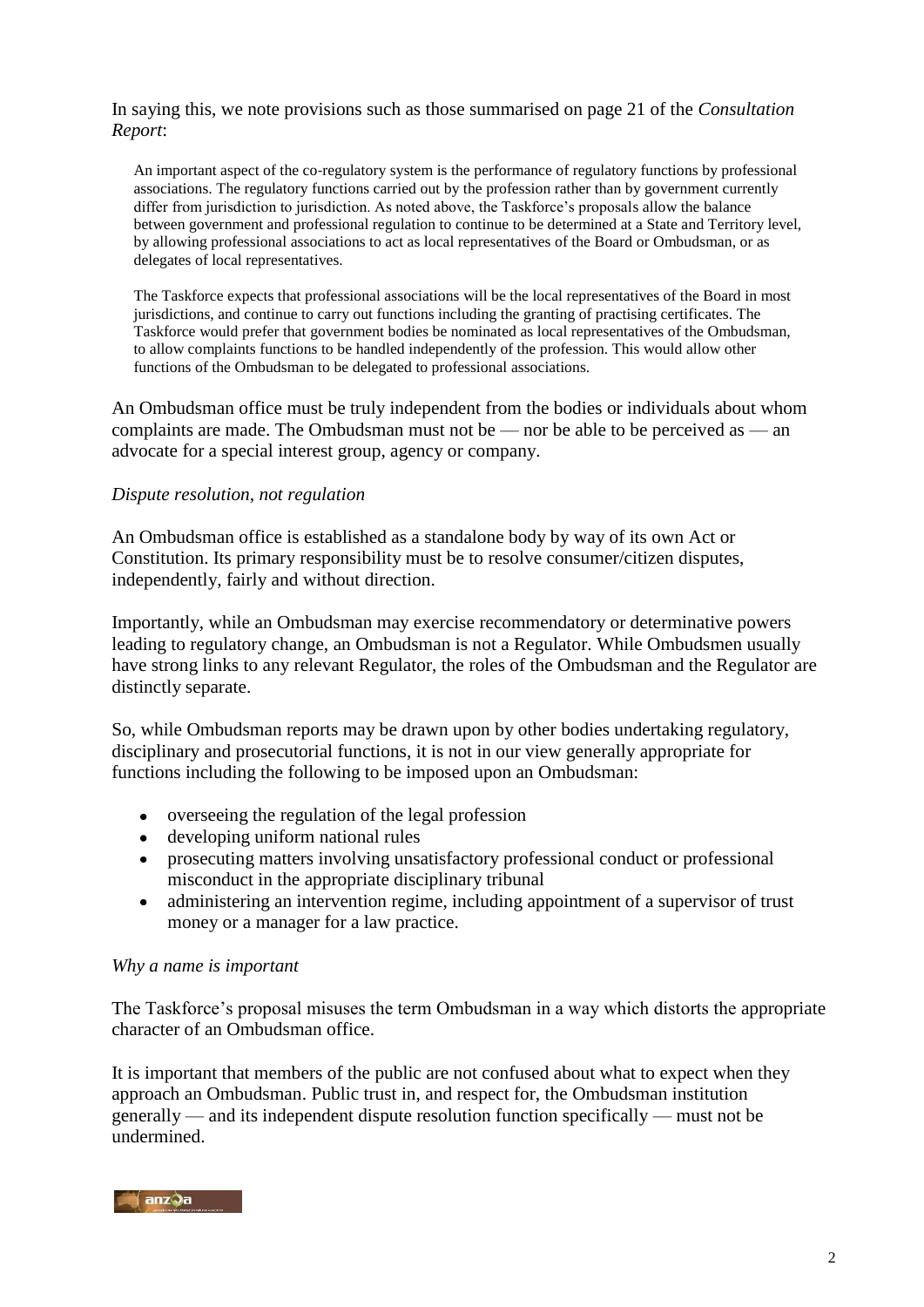# In saying this, we note provisions such as those summarised on page 21 of the *Consultation Report*:

An important aspect of the co-regulatory system is the performance of regulatory functions by professional associations. The regulatory functions carried out by the profession rather than by government currently differ from jurisdiction to jurisdiction. As noted above, the Taskforce's proposals allow the balance between government and professional regulation to continue to be determined at a State and Territory level, by allowing professional associations to act as local representatives of the Board or Ombudsman, or as delegates of local representatives.

The Taskforce expects that professional associations will be the local representatives of the Board in most jurisdictions, and continue to carry out functions including the granting of practising certificates. The Taskforce would prefer that government bodies be nominated as local representatives of the Ombudsman, to allow complaints functions to be handled independently of the profession. This would allow other functions of the Ombudsman to be delegated to professional associations.

An Ombudsman office must be truly independent from the bodies or individuals about whom complaints are made. The Ombudsman must not be — nor be able to be perceived as — an advocate for a special interest group, agency or company.

#### *Dispute resolution, not regulation*

An Ombudsman office is established as a standalone body by way of its own Act or Constitution. Its primary responsibility must be to resolve consumer/citizen disputes, independently, fairly and without direction.

Importantly, while an Ombudsman may exercise recommendatory or determinative powers leading to regulatory change, an Ombudsman is not a Regulator. While Ombudsmen usually have strong links to any relevant Regulator, the roles of the Ombudsman and the Regulator are distinctly separate.

So, while Ombudsman reports may be drawn upon by other bodies undertaking regulatory, disciplinary and prosecutorial functions, it is not in our view generally appropriate for functions including the following to be imposed upon an Ombudsman:

- overseeing the regulation of the legal profession
- developing uniform national rules
- prosecuting matters involving unsatisfactory professional conduct or professional misconduct in the appropriate disciplinary tribunal
- administering an intervention regime, including appointment of a supervisor of trust  $\bullet$ money or a manager for a law practice.

#### *Why a name is important*

The Taskforce's proposal misuses the term Ombudsman in a way which distorts the appropriate character of an Ombudsman office.

It is important that members of the public are not confused about what to expect when they approach an Ombudsman. Public trust in, and respect for, the Ombudsman institution generally — and its independent dispute resolution function specifically — must not be undermined.

#### anz9a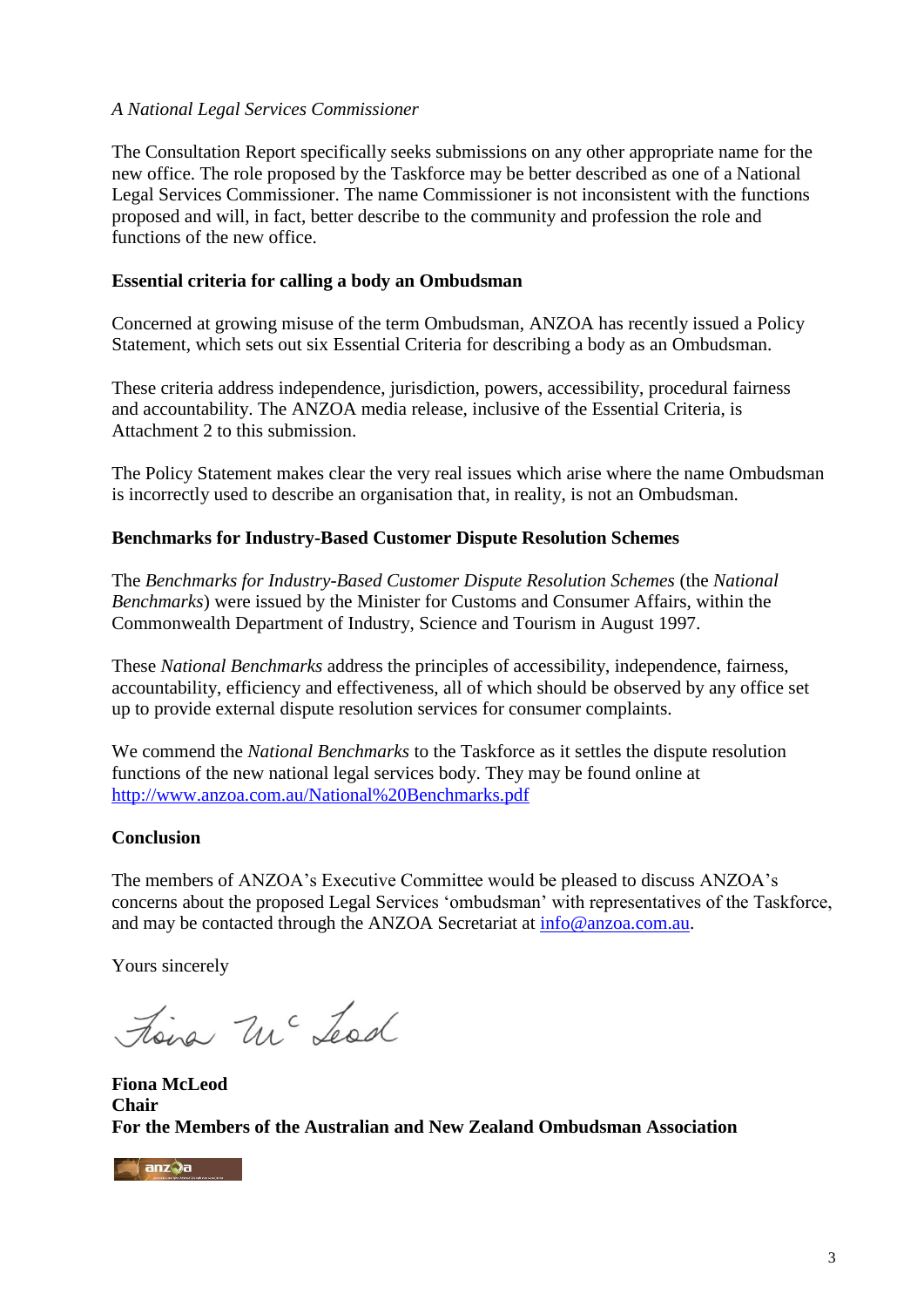# *A National Legal Services Commissioner*

The Consultation Report specifically seeks submissions on any other appropriate name for the new office. The role proposed by the Taskforce may be better described as one of a National Legal Services Commissioner. The name Commissioner is not inconsistent with the functions proposed and will, in fact, better describe to the community and profession the role and functions of the new office.

### **Essential criteria for calling a body an Ombudsman**

Concerned at growing misuse of the term Ombudsman, ANZOA has recently issued a Policy Statement, which sets out six Essential Criteria for describing a body as an Ombudsman.

These criteria address independence, jurisdiction, powers, accessibility, procedural fairness and accountability. The ANZOA media release, inclusive of the Essential Criteria, is Attachment 2 to this submission.

The Policy Statement makes clear the very real issues which arise where the name Ombudsman is incorrectly used to describe an organisation that, in reality, is not an Ombudsman.

### **Benchmarks for Industry-Based Customer Dispute Resolution Schemes**

The *Benchmarks for Industry-Based Customer Dispute Resolution Schemes* (the *National Benchmarks*) were issued by the Minister for Customs and Consumer Affairs, within the Commonwealth Department of Industry, Science and Tourism in August 1997.

These *National Benchmarks* address the principles of accessibility, independence, fairness, accountability, efficiency and effectiveness, all of which should be observed by any office set up to provide external dispute resolution services for consumer complaints.

We commend the *National Benchmarks* to the Taskforce as it settles the dispute resolution functions of the new national legal services body. They may be found online at <http://www.anzoa.com.au/National%20Benchmarks.pdf>

### **Conclusion**

The members of ANZOA's Executive Committee would be pleased to discuss ANZOA's concerns about the proposed Legal Services 'ombudsman' with representatives of the Taskforce, and may be contacted through the ANZOA Secretariat at [info@anzoa.com.au.](mailto:info@anzoa.com.au)

Yours sincerely

tiena Mc Lead

**Fiona McLeod Chair For the Members of the Australian and New Zealand Ombudsman Association** 

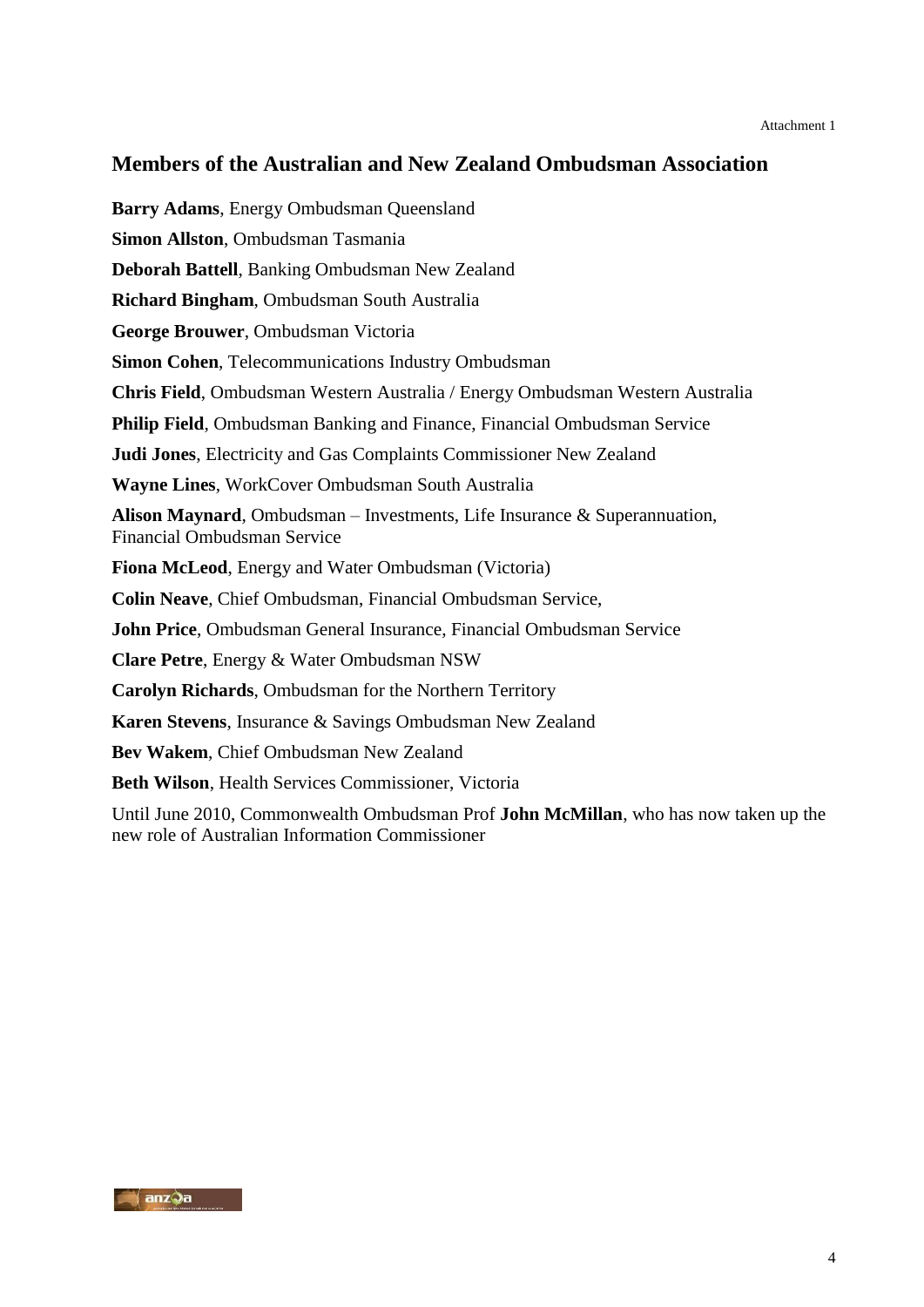# **Members of the Australian and New Zealand Ombudsman Association**

**Barry Adams**, Energy Ombudsman Queensland **Simon Allston**, Ombudsman Tasmania **Deborah Battell**, Banking Ombudsman New Zealand **Richard Bingham**, Ombudsman South Australia **George Brouwer**, Ombudsman Victoria **Simon Cohen**, Telecommunications Industry Ombudsman **Chris Field**, Ombudsman Western Australia / Energy Ombudsman Western Australia **Philip Field**, Ombudsman Banking and Finance, Financial Ombudsman Service **Judi Jones**, Electricity and Gas Complaints Commissioner New Zealand **Wayne Lines**, WorkCover Ombudsman South Australia **Alison Maynard**, Ombudsman – Investments, Life Insurance & Superannuation, Financial Ombudsman Service **Fiona McLeod**, Energy and Water Ombudsman (Victoria) **Colin Neave**, Chief Ombudsman, Financial Ombudsman Service, **John Price**, Ombudsman General Insurance, Financial Ombudsman Service **Clare Petre**, Energy & Water Ombudsman NSW **Carolyn Richards**, Ombudsman for the Northern Territory **Karen Stevens**, Insurance & Savings Ombudsman New Zealand **Bev Wakem**, Chief Ombudsman New Zealand **Beth Wilson**, Health Services Commissioner, Victoria Until June 2010, Commonwealth Ombudsman Prof **John McMillan**, who has now taken up the

new role of Australian Information Commissioner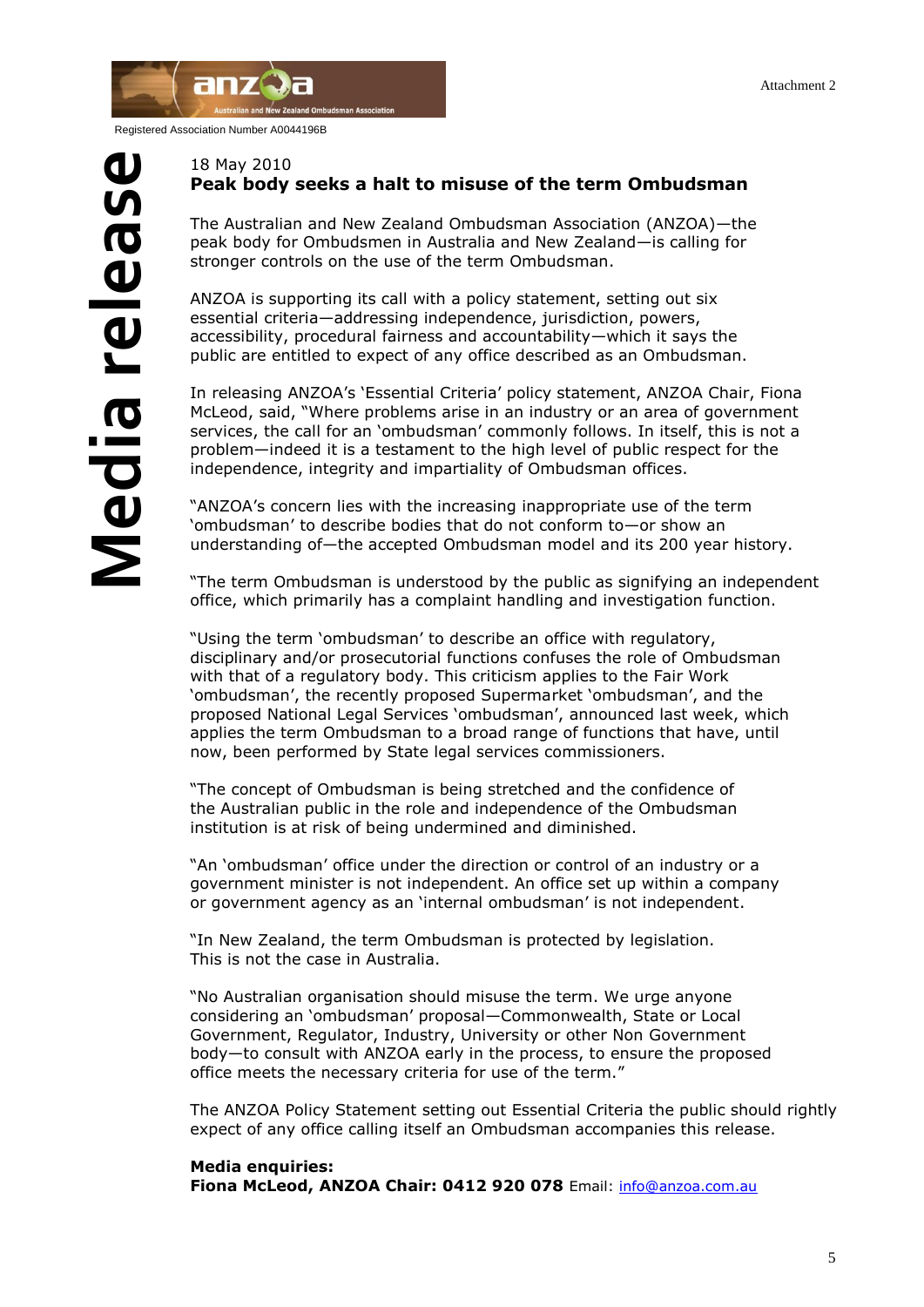

Registered Association Number A0044196B

#### 18 May 2010 **Peak body seeks a halt to misuse of the term Ombudsman**

The Australian and New Zealand Ombudsman Association (ANZOA)—the peak body for Ombudsmen in Australia and New Zealand—is calling for stronger controls on the use of the term Ombudsman.

ANZOA is supporting its call with a policy statement, setting out six essential criteria—addressing independence, jurisdiction, powers, accessibility, procedural fairness and accountability—which it says the public are entitled to expect of any office described as an Ombudsman.

In releasing ANZOA"s "Essential Criteria" policy statement, ANZOA Chair, Fiona McLeod, said, "Where problems arise in an industry or an area of government services, the call for an "ombudsman" commonly follows. In itself, this is not a problem—indeed it is a testament to the high level of public respect for the independence, integrity and impartiality of Ombudsman offices.

"ANZOA's concern lies with the increasing inappropriate use of the term "ombudsman" to describe bodies that do not conform to—or show an understanding of—the accepted Ombudsman model and its 200 year history.

"The term Ombudsman is understood by the public as signifying an independent office, which primarily has a complaint handling and investigation function.

"Using the term "ombudsman" to describe an office with regulatory, disciplinary and/or prosecutorial functions confuses the role of Ombudsman with that of a regulatory body. This criticism applies to the Fair Work 'ombudsman', the recently proposed Supermarket 'ombudsman', and the proposed National Legal Services "ombudsman", announced last week, which applies the term Ombudsman to a broad range of functions that have, until now, been performed by State legal services commissioners.

"The concept of Ombudsman is being stretched and the confidence of the Australian public in the role and independence of the Ombudsman institution is at risk of being undermined and diminished.

"An "ombudsman" office under the direction or control of an industry or a government minister is not independent. An office set up within a company or government agency as an "internal ombudsman" is not independent.

"In New Zealand, the term Ombudsman is protected by legislation. This is not the case in Australia.

"No Australian organisation should misuse the term. We urge anyone considering an "ombudsman" proposal—Commonwealth, State or Local Government, Regulator, Industry, University or other Non Government body—to consult with ANZOA early in the process, to ensure the proposed office meets the necessary criteria for use of the term."

The ANZOA Policy Statement setting out Essential Criteria the public should rightly expect of any office calling itself an Ombudsman accompanies this release.

#### **Media enquiries:**

**Fiona McLeod, ANZOA Chair: 0412 920 078** Email: [info@anzoa.com.au](mailto:info@anzoa.com.au)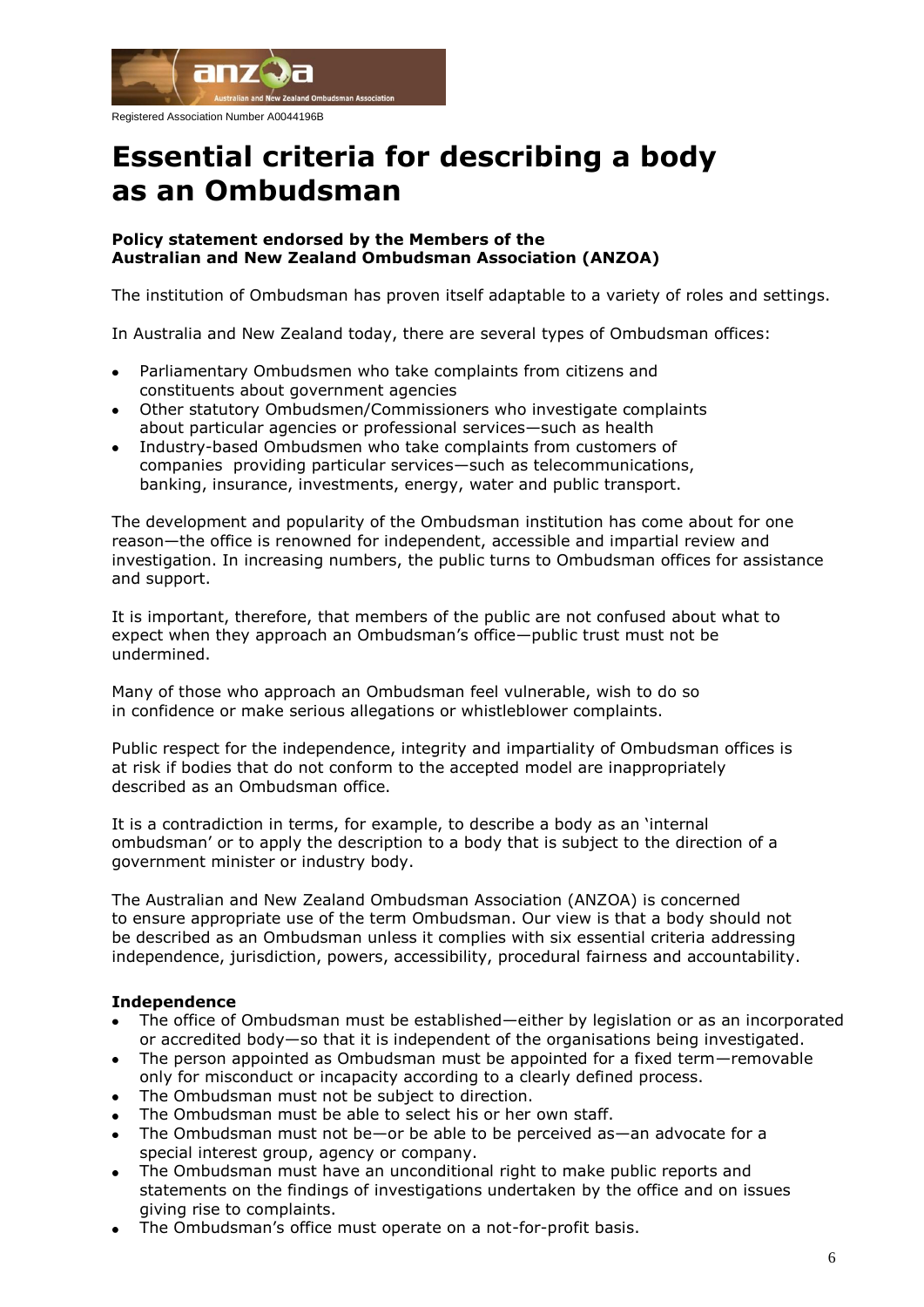

Registered Association Number A0044196B

# **Essential criteria for describing a body as an Ombudsman**

#### **Policy statement endorsed by the Members of the Australian and New Zealand Ombudsman Association (ANZOA)**

The institution of Ombudsman has proven itself adaptable to a variety of roles and settings.

In Australia and New Zealand today, there are several types of Ombudsman offices:

- Parliamentary Ombudsmen who take complaints from citizens and constituents about government agencies
- Other statutory Ombudsmen/Commissioners who investigate complaints about particular agencies or professional services—such as health
- Industry-based Ombudsmen who take complaints from customers of companies providing particular services—such as telecommunications, banking, insurance, investments, energy, water and public transport.

The development and popularity of the Ombudsman institution has come about for one reason—the office is renowned for independent, accessible and impartial review and investigation. In increasing numbers, the public turns to Ombudsman offices for assistance and support.

It is important, therefore, that members of the public are not confused about what to expect when they approach an Ombudsman"s office—public trust must not be undermined.

Many of those who approach an Ombudsman feel vulnerable, wish to do so in confidence or make serious allegations or whistleblower complaints.

Public respect for the independence, integrity and impartiality of Ombudsman offices is at risk if bodies that do not conform to the accepted model are inappropriately described as an Ombudsman office.

It is a contradiction in terms, for example, to describe a body as an "internal ombudsman" or to apply the description to a body that is subject to the direction of a government minister or industry body.

The Australian and New Zealand Ombudsman Association (ANZOA) is concerned to ensure appropriate use of the term Ombudsman. Our view is that a body should not be described as an Ombudsman unless it complies with six essential criteria addressing independence, jurisdiction, powers, accessibility, procedural fairness and accountability.

### **Independence**

- The office of Ombudsman must be established—either by legislation or as an incorporated or accredited body—so that it is independent of the organisations being investigated.
- $\bullet$ The person appointed as Ombudsman must be appointed for a fixed term—removable only for misconduct or incapacity according to a clearly defined process.
- The Ombudsman must not be subject to direction.
- The Ombudsman must be able to select his or her own staff.
- The Ombudsman must not be—or be able to be perceived as—an advocate for a special interest group, agency or company.
- The Ombudsman must have an unconditional right to make public reports and statements on the findings of investigations undertaken by the office and on issues giving rise to complaints.
- The Ombudsman"s office must operate on a not-for-profit basis.